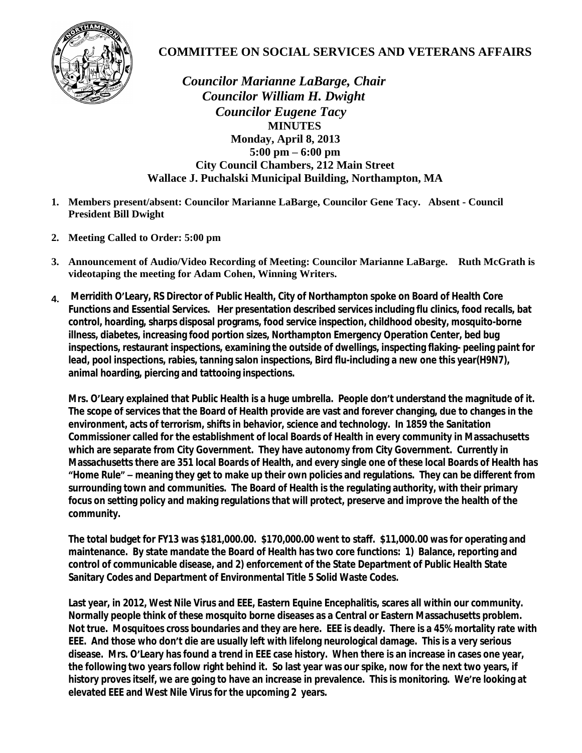

## **COMMITTEE ON SOCIAL SERVICES AND VETERANS AFFAIRS**

 *Councilor Marianne LaBarge, Chair Councilor William H. Dwight Councilor Eugene Tacy*  **MINUTES Monday, April 8, 2013 5:00 pm – 6:00 pm City Council Chambers, 212 Main Street Wallace J. Puchalski Municipal Building, Northampton, MA**

- **1. Members present/absent: Councilor Marianne LaBarge, Councilor Gene Tacy. Absent Council President Bill Dwight**
- **2. Meeting Called to Order: 5:00 pm**
- **3. Announcement of Audio/Video Recording of Meeting: Councilor Marianne LaBarge. Ruth McGrath is videotaping the meeting for Adam Cohen, Winning Writers.**
- **4. Merridith O'Leary, RS Director of Public Health, City of Northampton spoke on Board of Health Core Functions and Essential Services. Her presentation described services including flu clinics, food recalls, bat control, hoarding, sharps disposal programs, food service inspection, childhood obesity, mosquito-borne illness, diabetes, increasing food portion sizes, Northampton Emergency Operation Center, bed bug inspections, restaurant inspections, examining the outside of dwellings, inspecting flaking- peeling paint for lead, pool inspections, rabies, tanning salon inspections, Bird flu-including a new one this year(H9N7), animal hoarding, piercing and tattooing inspections.**

**Mrs. O'Leary explained that Public Health is a huge umbrella. People don't understand the magnitude of it. The scope of services that the Board of Health provide are vast and forever changing, due to changes in the environment, acts of terrorism, shifts in behavior, science and technology. In 1859 the Sanitation Commissioner called for the establishment of local Boards of Health in every community in Massachusetts which are separate from City Government. They have autonomy from City Government. Currently in Massachusetts there are 351 local Boards of Health, and every single one of these local Boards of Health has "Home Rule" – meaning they get to make up their own policies and regulations. They can be different from surrounding town and communities. The Board of Health is the regulating authority, with their primary focus on setting policy and making regulations that will protect, preserve and improve the health of the community.** 

**The total budget for FY13 was \$181,000.00. \$170,000.00 went to staff. \$11,000.00 was for operating and maintenance. By state mandate the Board of Health has two core functions: 1) Balance, reporting and control of communicable disease, and 2) enforcement of the State Department of Public Health State Sanitary Codes and Department of Environmental Title 5 Solid Waste Codes.**

**Last year, in 2012, West Nile Virus and EEE, Eastern Equine Encephalitis, scares all within our community. Normally people think of these mosquito borne diseases as a Central or Eastern Massachusetts problem. Not true. Mosquitoes cross boundaries and they are here. EEE is deadly. There is a 45% mortality rate with EEE. And those who don't die are usually left with lifelong neurological damage. This is a very serious disease. Mrs. O'Leary has found a trend in EEE case history. When there is an increase in cases one year, the following two years follow right behind it. So last year was our spike, now for the next two years, if history proves itself, we are going to have an increase in prevalence. This is monitoring. We're looking at elevated EEE and West Nile Virus for the upcoming 2 years.**